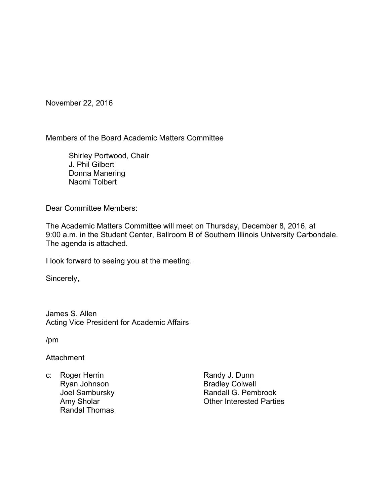November 22, 2016

Members of the Board Academic Matters Committee

 Shirley Portwood, Chair J. Phil Gilbert Donna Manering Naomi Tolbert

Dear Committee Members:

The Academic Matters Committee will meet on Thursday, December 8, 2016, at 9:00 a.m. in the Student Center, Ballroom B of Southern Illinois University Carbondale. The agenda is attached.

I look forward to seeing you at the meeting.

Sincerely,

James S. Allen Acting Vice President for Academic Affairs

/pm

**Attachment** 

c: Roger Herrin Ryan Johnson Joel Sambursky Amy Sholar Randal Thomas

Randy J. Dunn Bradley Colwell Randall G. Pembrook Other Interested Parties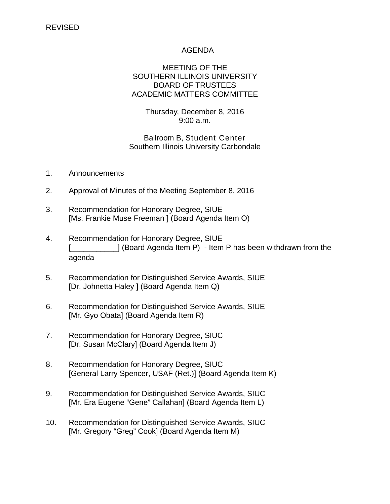# REVISED

# AGENDA

# MEETING OF THE SOUTHERN ILLINOIS UNIVERSITY BOARD OF TRUSTEES ACADEMIC MATTERS COMMITTEE

Thursday, December 8, 2016 9:00 a.m.

Ballroom B, Student Center Southern Illinois University Carbondale

- 1. Announcements
- 2. Approval of Minutes of the Meeting September 8, 2016
- 3. Recommendation for Honorary Degree, SIUE [Ms. Frankie Muse Freeman ] (Board Agenda Item O)
- 4. Recommendation for Honorary Degree, SIUE  $\Box$  (Board Agenda Item P) - Item P has been withdrawn from the agenda
- 5. Recommendation for Distinguished Service Awards, SIUE [Dr. Johnetta Haley ] (Board Agenda Item Q)
- 6. Recommendation for Distinguished Service Awards, SIUE [Mr. Gyo Obata] (Board Agenda Item R)
- 7. Recommendation for Honorary Degree, SIUC [Dr. Susan McClary] (Board Agenda Item J)
- 8. Recommendation for Honorary Degree, SIUC [General Larry Spencer, USAF (Ret.)] (Board Agenda Item K)
- 9. Recommendation for Distinguished Service Awards, SIUC [Mr. Era Eugene "Gene" Callahan] (Board Agenda Item L)
- 10. Recommendation for Distinguished Service Awards, SIUC [Mr. Gregory "Greg" Cook] (Board Agenda Item M)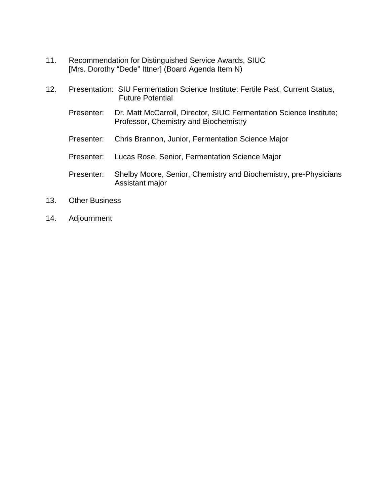- 11. Recommendation for Distinguished Service Awards, SIUC [Mrs. Dorothy "Dede" Ittner] (Board Agenda Item N)
- 12. Presentation: SIU Fermentation Science Institute: Fertile Past, Current Status, Future Potential Presenter: Dr. Matt McCarroll, Director, SIUC Fermentation Science Institute; Professor, Chemistry and Biochemistry Presenter: Chris Brannon, Junior, Fermentation Science Major Presenter: Lucas Rose, Senior, Fermentation Science Major Presenter: Shelby Moore, Senior, Chemistry and Biochemistry, pre-Physicians Assistant major
- 13. Other Business
- 14. Adjournment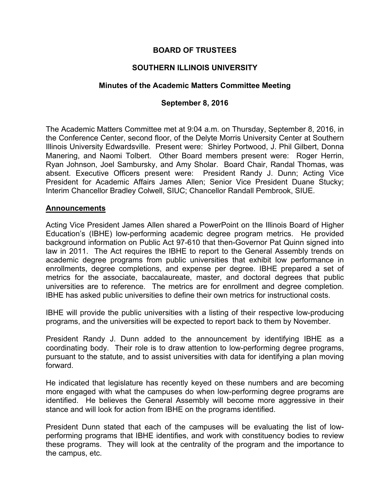# **BOARD OF TRUSTEES**

# **SOUTHERN ILLINOIS UNIVERSITY**

# **Minutes of the Academic Matters Committee Meeting**

# **September 8, 2016**

The Academic Matters Committee met at 9:04 a.m. on Thursday, September 8, 2016, in the Conference Center, second floor, of the Delyte Morris University Center at Southern Illinois University Edwardsville. Present were: Shirley Portwood, J. Phil Gilbert, Donna Manering, and Naomi Tolbert. Other Board members present were: Roger Herrin, Ryan Johnson, Joel Sambursky, and Amy Sholar. Board Chair, Randal Thomas, was absent. Executive Officers present were: President Randy J. Dunn; Acting Vice President for Academic Affairs James Allen; Senior Vice President Duane Stucky; Interim Chancellor Bradley Colwell, SIUC; Chancellor Randall Pembrook, SIUE.

#### **Announcements**

Acting Vice President James Allen shared a PowerPoint on the Illinois Board of Higher Education's (IBHE) low-performing academic degree program metrics. He provided background information on Public Act 97-610 that then-Governor Pat Quinn signed into law in 2011. The Act requires the IBHE to report to the General Assembly trends on academic degree programs from public universities that exhibit low performance in enrollments, degree completions, and expense per degree. IBHE prepared a set of metrics for the associate, baccalaureate, master, and doctoral degrees that public universities are to reference. The metrics are for enrollment and degree completion. IBHE has asked public universities to define their own metrics for instructional costs.

IBHE will provide the public universities with a listing of their respective low-producing programs, and the universities will be expected to report back to them by November.

President Randy J. Dunn added to the announcement by identifying IBHE as a coordinating body. Their role is to draw attention to low-performing degree programs, pursuant to the statute, and to assist universities with data for identifying a plan moving forward.

He indicated that legislature has recently keyed on these numbers and are becoming more engaged with what the campuses do when low-performing degree programs are identified. He believes the General Assembly will become more aggressive in their stance and will look for action from IBHE on the programs identified.

President Dunn stated that each of the campuses will be evaluating the list of lowperforming programs that IBHE identifies, and work with constituency bodies to review these programs. They will look at the centrality of the program and the importance to the campus, etc.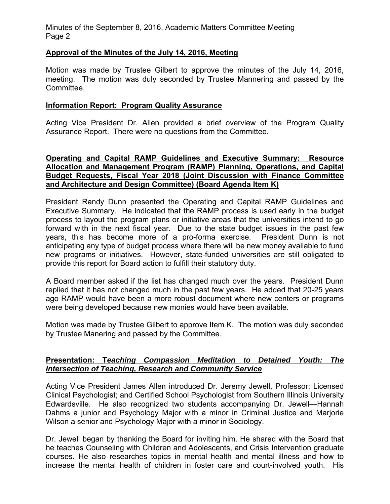Minutes of the September 8, 2016, Academic Matters Committee Meeting Page 2

# **Approval of the Minutes of the July 14, 2016, Meeting**

Motion was made by Trustee Gilbert to approve the minutes of the July 14, 2016, meeting. The motion was duly seconded by Trustee Mannering and passed by the Committee.

#### **Information Report: Program Quality Assurance**

Acting Vice President Dr. Allen provided a brief overview of the Program Quality Assurance Report. There were no questions from the Committee.

# **Operating and Capital RAMP Guidelines and Executive Summary: Resource Allocation and Management Program (RAMP) Planning, Operations, and Capital Budget Requests, Fiscal Year 2018 (Joint Discussion with Finance Committee and Architecture and Design Committee) (Board Agenda Item K)**

President Randy Dunn presented the Operating and Capital RAMP Guidelines and Executive Summary. He indicated that the RAMP process is used early in the budget process to layout the program plans or initiative areas that the universities intend to go forward with in the next fiscal year. Due to the state budget issues in the past few years, this has become more of a pro-forma exercise. President Dunn is not anticipating any type of budget process where there will be new money available to fund new programs or initiatives. However, state-funded universities are still obligated to provide this report for Board action to fulfill their statutory duty.

A Board member asked if the list has changed much over the years. President Dunn replied that it has not changed much in the past few years. He added that 20-25 years ago RAMP would have been a more robust document where new centers or programs were being developed because new monies would have been available.

Motion was made by Trustee Gilbert to approve Item K. The motion was duly seconded by Trustee Manering and passed by the Committee.

# **Presentation: T***eaching Compassion Meditation to Detained Youth: The Intersection of Teaching, Research and Community Service*

Acting Vice President James Allen introduced Dr. Jeremy Jewell, Professor; Licensed Clinical Psychologist; and Certified School Psychologist from Southern Illinois University Edwardsville. He also recognized two students accompanying Dr. Jewell—Hannah Dahms a junior and Psychology Major with a minor in Criminal Justice and Marjorie Wilson a senior and Psychology Major with a minor in Sociology.

Dr. Jewell began by thanking the Board for inviting him. He shared with the Board that he teaches Counseling with Children and Adolescents, and Crisis Intervention graduate courses. He also researches topics in mental health and mental illness and how to increase the mental health of children in foster care and court-involved youth. His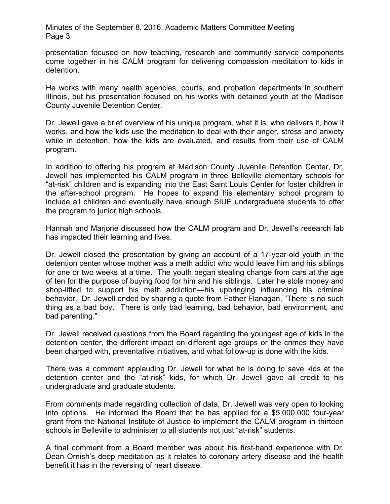Minutes of the September 8, 2016, Academic Matters Committee Meeting Page 3

presentation focused on how teaching, research and community service components come together in his CALM program for delivering compassion meditation to kids in detention.

He works with many health agencies, courts, and probation departments in southern Illinois, but his presentation focused on his works with detained youth at the Madison County Juvenile Detention Center.

Dr. Jewell gave a brief overview of his unique program, what it is, who delivers it, how it works, and how the kids use the meditation to deal with their anger, stress and anxiety while in detention, how the kids are evaluated, and results from their use of CALM program.

In addition to offering his program at Madison County Juvenile Detention Center, Dr. Jewell has implemented his CALM program in three Belleville elementary schools for "at-risk" children and is expanding into the East Saint Louis Center for foster children in the after-school program. He hopes to expand his elementary school program to include all children and eventually have enough SIUE undergraduate students to offer the program to junior high schools.

Hannah and Marjorie discussed how the CALM program and Dr. Jewell's research lab has impacted their learning and lives.

Dr. Jewell closed the presentation by giving an account of a 17-year-old youth in the detention center whose mother was a meth addict who would leave him and his siblings for one or two weeks at a time. The youth began stealing change from cars at the age of ten for the purpose of buying food for him and his siblings. Later he stole money and shop-lifted to support his meth addiction—his upbringing influencing his criminal behavior. Dr. Jewell ended by sharing a quote from Father Flanagan, "There is no such thing as a bad boy. There is only bad learning, bad behavior, bad environment, and bad parenting."

Dr. Jewell received questions from the Board regarding the youngest age of kids in the detention center, the different impact on different age groups or the crimes they have been charged with, preventative initiatives, and what follow-up is done with the kids.

There was a comment applauding Dr. Jewell for what he is doing to save kids at the detention center and the "at-risk" kids, for which Dr. Jewell gave all credit to his undergraduate and graduate students.

From comments made regarding collection of data, Dr. Jewell was very open to looking into options. He informed the Board that he has applied for a \$5,000,000 four-year grant from the National Institute of Justice to implement the CALM program in thirteen schools in Belleville to administer to all students not just "at-risk" students.

A final comment from a Board member was about his first-hand experience with Dr. Dean Ornish's deep meditation as it relates to coronary artery disease and the health benefit it has in the reversing of heart disease.